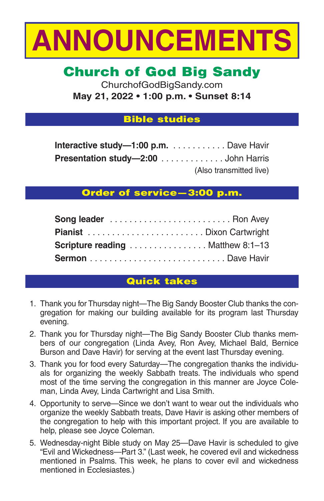

# **Church of God Big Sandy**

ChurchofGodBigSandy.com **May 21, 2022 • 1:00 p.m. • Sunset 8:14**

## **Bible studies**

| Interactive study-1:00 p.m. Dave Havir     |                         |
|--------------------------------------------|-------------------------|
| <b>Presentation study-2:00</b> John Harris |                         |
|                                            | (Also transmitted live) |

## **Order of service—3:00 p.m.**

| <b>Scripture reading</b> Matthew 8:1-13 |  |
|-----------------------------------------|--|
|                                         |  |

## **Quick takes**

- 1. Thank you for Thursday night—The Big Sandy Booster Club thanks the congregation for making our building available for its program last Thursday evening.
- 2. Thank you for Thursday night—The Big Sandy Booster Club thanks members of our congregation (Linda Avey, Ron Avey, Michael Bald, Bernice Burson and Dave Havir) for serving at the event last Thursday evening.
- 3. Thank you for food every Saturday—The congregation thanks the individuals for organizing the weekly Sabbath treats. The individuals who spend most of the time serving the congregation in this manner are Joyce Coleman, Linda Avey, Linda Cartwright and Lisa Smith.
- 4. Opportunity to serve—Since we don't want to wear out the individuals who organize the weekly Sabbath treats, Dave Havir is asking other members of the congregation to help with this important project. If you are available to help, please see Joyce Coleman.
- 5. Wednesday-night Bible study on May 25—Dave Havir is scheduled to give "Evil and Wickedness—Part 3." (Last week, he covered evil and wickedness mentioned in Psalms. This week, he plans to cover evil and wickedness mentioned in Ecclesiastes.)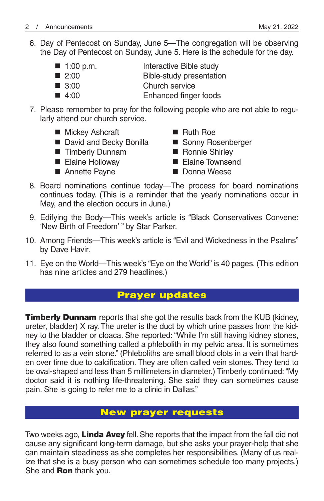6. Day of Pentecost on Sunday, June 5—The congregation will be observing the Day of Pentecost on Sunday, June 5. Here is the schedule for the day.

| $\blacksquare$ 1:00 p.m. | Interactive Bible study  |
|--------------------------|--------------------------|
| $\blacksquare$ 2:00      | Bible-study presentation |
| $\blacksquare$ 3:00      | Church service           |

- 4:00 Enhanced finger foods
- 7. Please remember to pray for the following people who are not able to regularly attend our church service.
	- Mickey Ashcraft Ruth Roe
	- David and Becky Bonilla Sonny Rosenberger<br>■ Timberly Dunnam Ronnie Shirley
	- **Timberly Dunnam**
	-
	- Annette Payne Donna Weese
- 
- 
- - Elaine Holloway Elaine Townsend
		-
- 8. Board nominations continue today—The process for board nominations continues today. (This is a reminder that the yearly nominations occur in May, and the election occurs in June.)
- 9. Edifying the Body—This week's article is "Black Conservatives Convene: 'New Birth of Freedom' " by Star Parker.
- 10. Among Friends—This week's article is "Evil and Wickedness in the Psalms" by Dave Havir.
- 11. Eye on the World—This week's "Eye on the World" is 40 pages. (This edition has nine articles and 279 headlines.)

## **Prayer updates**

**Timberly Dunnam** reports that she got the results back from the KUB (kidney, ureter, bladder) X ray. The ureter is the duct by which urine passes from the kidney to the bladder or cloaca. She reported: "While I'm still having kidney stones, they also found something called a phlebolith in my pelvic area. It is sometimes referred to as a vein stone." (Phleboliths are small blood clots in a vein that harden over time due to calcification. They are often called vein stones. They tend to be oval-shaped and less than 5 millimeters in diameter.) Timberly continued: "My doctor said it is nothing life-threatening. She said they can sometimes cause pain. She is going to refer me to a clinic in Dallas."

## **New prayer requests**

Two weeks ago, **Linda Avey** fell. She reports that the impact from the fall did not cause any significant long-term damage, but she asks your prayer-help that she can maintain steadiness as she completes her responsibilities. (Many of us realize that she is a busy person who can sometimes schedule too many projects.) She and **Ron** thank you.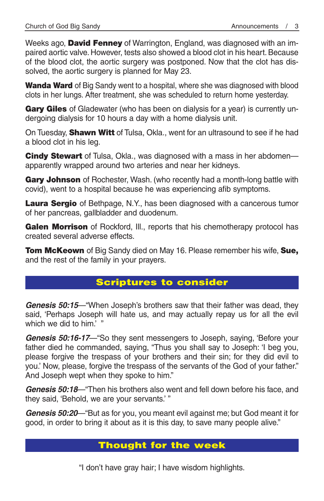Weeks ago, **David Fenney** of Warrington, England, was diagnosed with an impaired aortic valve. However, tests also showed a blood clot in his heart. Because of the blood clot, the aortic surgery was postponed. Now that the clot has dissolved, the aortic surgery is planned for May 23.

**Wanda Ward** of Big Sandy went to a hospital, where she was diagnosed with blood clots in her lungs. After treatment, she was scheduled to return home yesterday.

**Gary Giles** of Gladewater (who has been on dialysis for a year) is currently undergoing dialysis for 10 hours a day with a home dialysis unit.

On Tuesday, **Shawn Witt** of Tulsa, Okla., went for an ultrasound to see if he had a blood clot in his leg.

**Cindy Stewart** of Tulsa, Okla., was diagnosed with a mass in her abdomen apparently wrapped around two arteries and near her kidneys.

**Gary Johnson** of Rochester, Wash. (who recently had a month-long battle with covid), went to a hospital because he was experiencing afib symptoms.

**Laura Sergio** of Bethpage, N.Y., has been diagnosed with a cancerous tumor of her pancreas, gallbladder and duodenum.

Galen Morrison of Rockford, Ill., reports that his chemotherapy protocol has created several adverse effects.

**Tom McKeown** of Big Sandy died on May 16. Please remember his wife, **Sue,** and the rest of the family in your prayers.

## **Scriptures to consider**

*Genesis 50:15*—"When Joseph's brothers saw that their father was dead, they said, 'Perhaps Joseph will hate us, and may actually repay us for all the evil which we did to him.' "

*Genesis 50:16-17*—"So they sent messengers to Joseph, saying, 'Before your father died he commanded, saying, "Thus you shall say to Joseph: 'I beg you, please forgive the trespass of your brothers and their sin; for they did evil to you.' Now, please, forgive the trespass of the servants of the God of your father." And Joseph wept when they spoke to him."

*Genesis 50:18*—"Then his brothers also went and fell down before his face, and they said, 'Behold, we are your servants.' "

*Genesis 50:20*—"But as for you, you meant evil against me; but God meant it for good, in order to bring it about as it is this day, to save many people alive."

## **Thought for the week**

"I don't have gray hair; I have wisdom highlights.